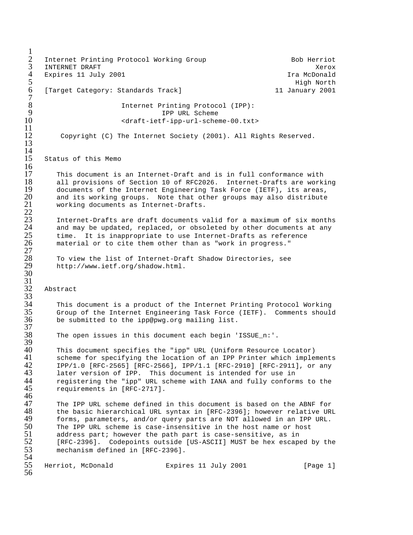$\frac{1}{2}$ 2 Internet Printing Protocol Working Group Bob Herriot 3 INTERNET DRAFT Xerox 4 Expires 11 July 2001 12:30 12:30 12:30 12:30 12:40 12:40 12:40 12:40 12:40 12:40 12:40 12:40 12:40 12:40 12:40 12:40 12:40 12:40 12:40 12:40 12:40 12:40 12:40 12:40 12:40 12:40 12:40 12:40 12:40 12:40 12:40 12:40 12:40 1 5 High North [Target Category: Standards Track] 11 January 2001  $7\over 8$ 8 Internet Printing Protocol (IPP):<br>9 TPP URL Scheme 9 IPP URL Scheme 10 <draft-ietf-ipp-url-scheme-00.txt>  $\frac{11}{12}$ Copyright (C) The Internet Society (2001). All Rights Reserved. 13  $\frac{14}{15}$ Status of this Memo  $\frac{16}{17}$ 17 This document is an Internet-Draft and is in full conformance with<br>18 all provisions of Section 10 of RFC2026. Internet-Drafts are work: 18 all provisions of Section 10 of RFC2026. Internet-Drafts are working<br>19 documents of the Internet Engineering Task Force (IETF), its areas, 19 documents of the Internet Engineering Task Force (IETF), its areas,<br>20 and its working groups. Note that other groups may also distribute 20 and its working groups. Note that other groups may also distribute<br>21 working documents as Internet-Drafts. working documents as Internet-Drafts.  $rac{22}{23}$ 23 Internet-Drafts are draft documents valid for a maximum of six months and may be updated, replaced, or obsoleted by other documents at any time. It is inappropriate to use Internet-Drafts as reference material or to cite them other than as "work in progress."  $\frac{25}{26}$ <br> $\frac{27}{27}$ To view the list of Internet-Draft Shadow Directories, see http://www.ietf.org/shadow.html.  $\frac{28}{29}$ <br>30  $\frac{31}{32}$ Abstract  $rac{5}{33}$ <br>34 34 This document is a product of the Internet Printing Protocol Working 35 Group of the Internet Engineering Task Force (IETF). Comments should be submitted to the ipp@pwg.org mailing list.  $\frac{37}{38}$ The open issues in this document each begin 'ISSUE n:'. 39<br>40 40 This document specifies the "ipp" URL (Uniform Resource Locator) 41 scheme for specifying the location of an IPP Printer which implements<br>42 1PP/1.0 [RFC-2565] [RFC-2566], IPP/1.1 [RFC-2910] [RFC-2911], or any 42 IPP/1.0 [RFC-2565] [RFC-2566], IPP/1.1 [RFC-2910] [RFC-2911], or any<br>43 later version of IPP. This document is intended for use in 43 later version of IPP. This document is intended for use in<br>44 registering the "ipp" URL scheme with IANA and fully conform 44 registering the "ipp" URL scheme with IANA and fully conforms to the<br>45 requirements in [RFC-2717]. 45 requirements in [RFC-2717]. 46<br>47 47 The IPP URL scheme defined in this document is based on the ABNF for<br>48 the basic hierarchical URL syntax in [RFC-2396]; however relative URI 48 the basic hierarchical URL syntax in [RFC-2396]; however relative URL<br>49 torms, parameters, and/or query parts are NOT allowed in an IPP URL. 49 forms, parameters, and/or query parts are NOT allowed in an IPP URL.<br>50 The IPP URL scheme is case-insensitive in the host name or host  $50$  The IPP URL scheme is case-insensitive in the host name or host  $51$  address part; however the path part is case-sensitive, as in 51 address part; however the path part is case-sensitive, as in<br>52 [RFC-2396]. Codepoints outside [US-ASCII] MUST be hex escape 52 [RFC-2396]. Codepoints outside [US-ASCII] MUST be hex escaped by the 53 mechanism defined in [RFC-2396]. mechanism defined in [RFC-2396]. 54<br>55 Herriot, McDonald **Expires 11 July 2001** [Page 1] 56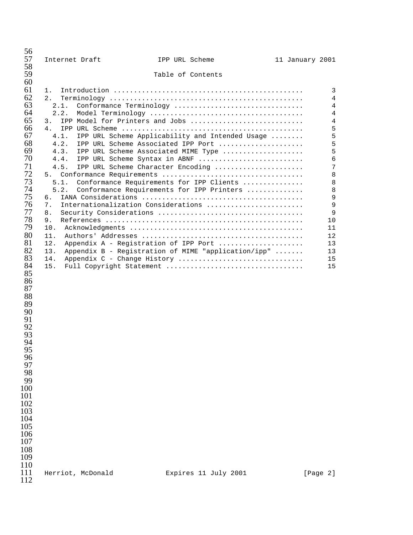| 57<br>Internet Draft<br>IPP URL Scheme<br>11 January 2001<br>58<br>59<br>Table of Contents<br>60<br>61<br>1.<br>62<br>2.<br>63<br>2.1.<br>Conformance Terminology<br>64<br>2.2.<br>65<br>IPP Model for Printers and Jobs<br>3.<br>66<br>4.<br>67<br>IPP URL Scheme Applicability and Intended Usage<br>4.1.<br>68<br>4.2.<br>IPP URL Scheme Associated IPP Port<br>69<br>4.3.<br>IPP URL Scheme Associated MIME Type<br>70<br>4.4.<br>IPP URL Scheme Syntax in ABNF<br>71<br>IPP URL Scheme Character Encoding<br>4.5.<br>72<br>5.<br>73<br>Conformance Requirements for IPP Clients<br>5.1.<br>74<br>5.2.<br>Conformance Requirements for IPP Printers<br>75<br>б.<br>76<br>Internationalization Considerations<br>7.<br>77<br>8.<br>78<br>9.<br>79<br>10.<br>80<br>11.<br>81<br>12.<br>Appendix A - Registration of IPP Port<br>82<br>13.<br>Appendix B - Registration of MIME "application/ipp"<br>83<br>Appendix C - Change History<br>14.<br>84<br>15.<br>Full Copyright Statement<br>85<br>86<br>87<br>88<br>89<br>90<br>91<br>92<br>93<br>94<br>95<br>96<br>97<br>98<br>99<br>100<br>101<br>102<br>103<br>104<br>105<br>106<br>107<br>108<br>109<br>110<br>111<br>Herriot, McDonald<br>Expires 11 July 2001<br>[Page 2]<br>112 | 56 |  |  |                                                                                                                                                                                                                        |
|---------------------------------------------------------------------------------------------------------------------------------------------------------------------------------------------------------------------------------------------------------------------------------------------------------------------------------------------------------------------------------------------------------------------------------------------------------------------------------------------------------------------------------------------------------------------------------------------------------------------------------------------------------------------------------------------------------------------------------------------------------------------------------------------------------------------------------------------------------------------------------------------------------------------------------------------------------------------------------------------------------------------------------------------------------------------------------------------------------------------------------------------------------------------------------------------------------------------------------------|----|--|--|------------------------------------------------------------------------------------------------------------------------------------------------------------------------------------------------------------------------|
|                                                                                                                                                                                                                                                                                                                                                                                                                                                                                                                                                                                                                                                                                                                                                                                                                                                                                                                                                                                                                                                                                                                                                                                                                                       |    |  |  |                                                                                                                                                                                                                        |
|                                                                                                                                                                                                                                                                                                                                                                                                                                                                                                                                                                                                                                                                                                                                                                                                                                                                                                                                                                                                                                                                                                                                                                                                                                       |    |  |  |                                                                                                                                                                                                                        |
|                                                                                                                                                                                                                                                                                                                                                                                                                                                                                                                                                                                                                                                                                                                                                                                                                                                                                                                                                                                                                                                                                                                                                                                                                                       |    |  |  | 3<br>$\overline{4}$<br>$\overline{4}$<br>$\overline{4}$<br>$\overline{4}$<br>5<br>5<br>5<br>5<br>$\epsilon$<br>$\sqrt{ }$<br>8<br>$\,8\,$<br>$\, 8$<br>$\mathsf 9$<br>9<br>9<br>10<br>11<br>12<br>13<br>13<br>15<br>15 |
|                                                                                                                                                                                                                                                                                                                                                                                                                                                                                                                                                                                                                                                                                                                                                                                                                                                                                                                                                                                                                                                                                                                                                                                                                                       |    |  |  |                                                                                                                                                                                                                        |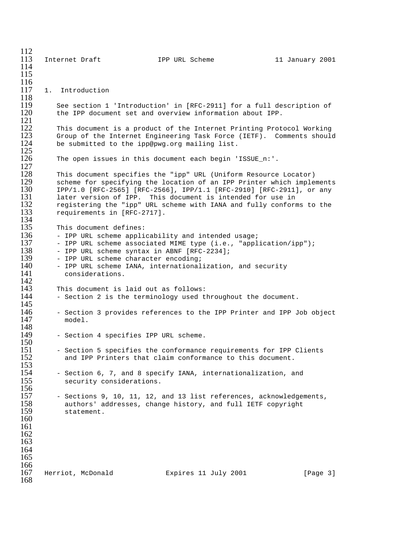$\frac{112}{113}$ Internet Draft 1PP URL Scheme 11 January 2001 114 115  $\frac{116}{117}$ 1. Introduction 118<br>119 119 See section 1 'Introduction' in [RFC-2911] for a full description of 120 the IPP document set and overview information about IPP. the IPP document set and overview information about IPP.  $\frac{121}{122}$ 122 This document is a product of the Internet Printing Protocol Working<br>123 Group of the Internet Engineering Task Force (IETF). Comments should 123 Group of the Internet Engineering Task Force (IETF). Comments should 124 be submitted to the ipp@pwg.org mailing list. be submitted to the ipp@pwg.org mailing list.  $\frac{125}{126}$ The open issues in this document each begin 'ISSUE\_n:'.  $\frac{127}{128}$ 128 This document specifies the "ipp" URL (Uniform Resource Locator)<br>129 Scheme for specifying the location of an IPP Printer which imple 129 scheme for specifying the location of an IPP Printer which implements<br>130 1PP/1.0 [RFC-2565] [RFC-2566], IPP/1.1 [RFC-2910] [RFC-2911], or any 130 IPP/1.0 [RFC-2565] [RFC-2566], IPP/1.1 [RFC-2910] [RFC-2911], or any 131 ater version of IPP. This document is intended for use in 131 later version of IPP. This document is intended for use in<br>132 registering the "ipp" URL scheme with IANA and fully conform 132 registering the "ipp" URL scheme with IANA and fully conforms to the 133 requirements in [RFC-2717]. requirements in [RFC-2717].  $\frac{134}{135}$ 135 This document defines:<br>136 - IPP URL scheme appli 136 - IPP URL scheme applicability and intended usage;<br>137 - IPP URL scheme associated MIME type (i.e., "appl 137 - IPP URL scheme associated MIME type (i.e., "application/ipp");<br>138 - IPP URL scheme svntax in ABNF [RFC-2234]; 138 - IPP URL scheme syntax in ABNF [RFC-2234];<br>139 - IPP URL scheme character encoding; 139 - IPP URL scheme character encoding;<br>140 - IPP URL scheme IANA, international 140 - IPP URL scheme IANA, internationalization, and security 141 considerations.  $\frac{142}{143}$ 143 This document is laid out as follows:<br>144 - Section 2 is the terminology used t - Section 2 is the terminology used throughout the document.  $\frac{145}{146}$ 146 - Section 3 provides references to the IPP Printer and IPP Job object 147 model. 148<br>149 - Section 4 specifies IPP URL scheme.  $\frac{150}{151}$ 151 - Section 5 specifies the conformance requirements for IPP Clients<br>152 - and IPP Printers that claim conformance to this document. and IPP Printers that claim conformance to this document.  $\frac{153}{154}$ 154 - Section 6, 7, and 8 specify IANA, internationalization, and 155 security considerations. security considerations.  $\frac{156}{157}$ 157 - Sections 9, 10, 11, 12, and 13 list references, acknowledgements,<br>158 - authors' addresses, change history, and full IETF copyright 158 authors' addresses, change history, and full IETF copyright statement. 160 161 162 163 164 165  $\frac{166}{167}$ Herriot, McDonald Expires 11 July 2001 [Page 3] 168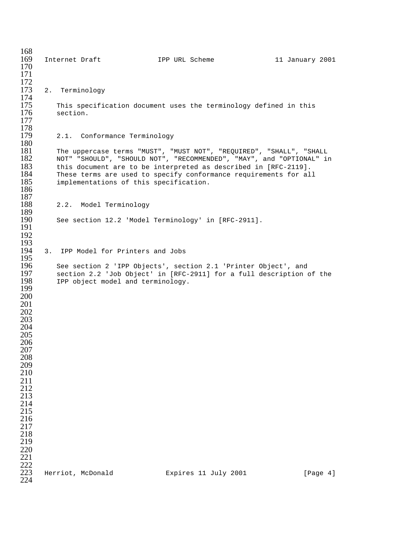| 168        |    |                |                        |                                        |                |                                                     |                                                                                                                                     |                 |          |
|------------|----|----------------|------------------------|----------------------------------------|----------------|-----------------------------------------------------|-------------------------------------------------------------------------------------------------------------------------------------|-----------------|----------|
| 169        |    | Internet Draft |                        |                                        | IPP URL Scheme |                                                     |                                                                                                                                     | 11 January 2001 |          |
| 170<br>171 |    |                |                        |                                        |                |                                                     |                                                                                                                                     |                 |          |
| 172        |    |                |                        |                                        |                |                                                     |                                                                                                                                     |                 |          |
| 173        | 2. |                | Terminology            |                                        |                |                                                     |                                                                                                                                     |                 |          |
| 174        |    |                |                        |                                        |                |                                                     |                                                                                                                                     |                 |          |
| 175        |    |                |                        |                                        |                |                                                     | This specification document uses the terminology defined in this                                                                    |                 |          |
| 176        |    | section.       |                        |                                        |                |                                                     |                                                                                                                                     |                 |          |
| 177        |    |                |                        |                                        |                |                                                     |                                                                                                                                     |                 |          |
| 178        |    |                |                        |                                        |                |                                                     |                                                                                                                                     |                 |          |
| 179        |    |                |                        | 2.1. Conformance Terminology           |                |                                                     |                                                                                                                                     |                 |          |
| 180        |    |                |                        |                                        |                |                                                     |                                                                                                                                     |                 |          |
| 181<br>182 |    |                |                        |                                        |                |                                                     | The uppercase terms "MUST", "MUST NOT", "REQUIRED", "SHALL", "SHALL                                                                 |                 |          |
| 183        |    |                |                        |                                        |                |                                                     | NOT" "SHOULD", "SHOULD NOT", "RECOMMENDED", "MAY", and "OPTIONAL" in                                                                |                 |          |
| 184        |    |                |                        |                                        |                |                                                     | this document are to be interpreted as described in [RFC-2119].<br>These terms are used to specify conformance requirements for all |                 |          |
| 185        |    |                |                        | implementations of this specification. |                |                                                     |                                                                                                                                     |                 |          |
| 186        |    |                |                        |                                        |                |                                                     |                                                                                                                                     |                 |          |
| 187        |    |                |                        |                                        |                |                                                     |                                                                                                                                     |                 |          |
| 188        |    |                | 2.2. Model Terminology |                                        |                |                                                     |                                                                                                                                     |                 |          |
| 189        |    |                |                        |                                        |                |                                                     |                                                                                                                                     |                 |          |
| 190        |    |                |                        |                                        |                | See section 12.2 'Model Terminology' in [RFC-2911]. |                                                                                                                                     |                 |          |
| 191        |    |                |                        |                                        |                |                                                     |                                                                                                                                     |                 |          |
| 192<br>193 |    |                |                        |                                        |                |                                                     |                                                                                                                                     |                 |          |
| 194        | 3. |                |                        | IPP Model for Printers and Jobs        |                |                                                     |                                                                                                                                     |                 |          |
| 195        |    |                |                        |                                        |                |                                                     |                                                                                                                                     |                 |          |
| 196        |    |                |                        |                                        |                |                                                     | See section 2 'IPP Objects', section 2.1 'Printer Object', and                                                                      |                 |          |
| 197        |    |                |                        |                                        |                |                                                     | section 2.2 'Job Object' in [RFC-2911] for a full description of the                                                                |                 |          |
| 198        |    |                |                        | IPP object model and terminology.      |                |                                                     |                                                                                                                                     |                 |          |
| 199        |    |                |                        |                                        |                |                                                     |                                                                                                                                     |                 |          |
| 200        |    |                |                        |                                        |                |                                                     |                                                                                                                                     |                 |          |
| 201        |    |                |                        |                                        |                |                                                     |                                                                                                                                     |                 |          |
| 202<br>203 |    |                |                        |                                        |                |                                                     |                                                                                                                                     |                 |          |
| 204        |    |                |                        |                                        |                |                                                     |                                                                                                                                     |                 |          |
| 205        |    |                |                        |                                        |                |                                                     |                                                                                                                                     |                 |          |
| 206        |    |                |                        |                                        |                |                                                     |                                                                                                                                     |                 |          |
| 207        |    |                |                        |                                        |                |                                                     |                                                                                                                                     |                 |          |
| 208        |    |                |                        |                                        |                |                                                     |                                                                                                                                     |                 |          |
| 209        |    |                |                        |                                        |                |                                                     |                                                                                                                                     |                 |          |
| 210        |    |                |                        |                                        |                |                                                     |                                                                                                                                     |                 |          |
| 211        |    |                |                        |                                        |                |                                                     |                                                                                                                                     |                 |          |
| 212<br>213 |    |                |                        |                                        |                |                                                     |                                                                                                                                     |                 |          |
| 214        |    |                |                        |                                        |                |                                                     |                                                                                                                                     |                 |          |
| 215        |    |                |                        |                                        |                |                                                     |                                                                                                                                     |                 |          |
| 216        |    |                |                        |                                        |                |                                                     |                                                                                                                                     |                 |          |
| 217        |    |                |                        |                                        |                |                                                     |                                                                                                                                     |                 |          |
| 218        |    |                |                        |                                        |                |                                                     |                                                                                                                                     |                 |          |
| 219        |    |                |                        |                                        |                |                                                     |                                                                                                                                     |                 |          |
| 220        |    |                |                        |                                        |                |                                                     |                                                                                                                                     |                 |          |
| 221        |    |                |                        |                                        |                |                                                     |                                                                                                                                     |                 |          |
| 222<br>223 |    |                |                        |                                        |                |                                                     |                                                                                                                                     |                 |          |
| 224        |    |                | Herriot, McDonald      |                                        |                | Expires 11 July 2001                                |                                                                                                                                     |                 | [Page 4] |
|            |    |                |                        |                                        |                |                                                     |                                                                                                                                     |                 |          |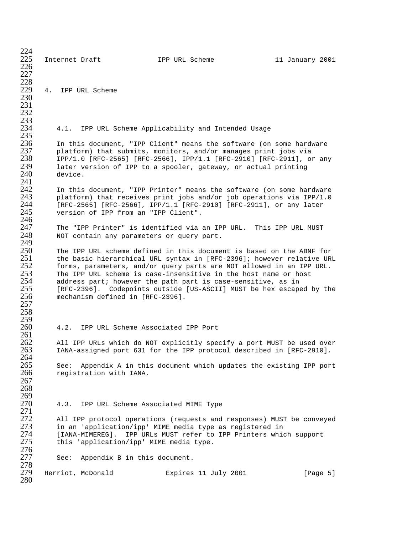224 225 Internet Draft IPP URL Scheme 11 January 2001 226 227 228<br>229 4. IPP URL Scheme 230 231 232 233<br>234 4.1. IPP URL Scheme Applicability and Intended Usage 235<br>236 236 In this document, "IPP Client" means the software (on some hardware 237 blatform) that submits, monitors, and/or manages print jobs via  $237$  platform) that submits, monitors, and/or manages print jobs via<br> $238$  1PP/1.0 [RFC-2565] [RFC-2566], IPP/1.1 [RFC-2910] [RFC-2911], o: 238 IPP/1.0 [RFC-2565] [RFC-2566], IPP/1.1 [RFC-2910] [RFC-2911], or any<br>239 later version of IPP to a spooler, gateway, or actual printing 239 later version of IPP to a spooler, gateway, or actual printing device.  $\frac{241}{242}$ 242 In this document, "IPP Printer" means the software (on some hardware<br>243 blatform) that receives print jobs and/or job operations via IPP/1.0 243 platform) that receives print jobs and/or job operations via IPP/1.0<br>244 [RFC-2565] [RFC-2566], IPP/1.1 [RFC-2910] [RFC-2911], or any later 244 [RFC-2565] [RFC-2566], IPP/1.1 [RFC-2910] [RFC-2911], or any later version of IPP from an "IPP Client". 246<br>247 247 The "IPP Printer" is identified via an IPP URL. This IPP URL MUST<br>248 NOT contain any parameters or query part. NOT contain any parameters or query part. 249<br>250 250 The IPP URL scheme defined in this document is based on the ABNF for 251 the basic hierarchical URL syntax in [RFC-2396]; however relative URL<br>252 torms, parameters, and/or query parts are NOT allowed in an IPP URL. 252 forms, parameters, and/or query parts are NOT allowed in an IPP URL.<br>253 The IPP URL scheme is case-insensitive in the host name or host 253 The IPP URL scheme is case-insensitive in the host name or host<br>254 address part; however the path part is case-sensitive, as in 254 address part; however the path part is case-sensitive, as in 255 [RFC-2396]. Codepoints outside [US-ASCII] MUST be hex escaped by the 256 mechanism defined in [RFC-2396]. mechanism defined in [RFC-2396]. 257 258 259 4.2. IPP URL Scheme Associated IPP Port 261 262 All IPP URLs which do NOT explicitly specify a port MUST be used over<br>263 IANA-assigned port 631 for the IPP protocol described in [RFC-2910]. 263 IANA-assigned port 631 for the IPP protocol described in [RFC-2910]. 264<br>265 265 See: Appendix A in this document which updates the existing IPP port<br>266 Sequentation with IANA. registration with IANA. 267 268 269<br>270 4.3. IPP URL Scheme Associated MIME Type 271 272 All IPP protocol operations (requests and responses) MUST be conveyed<br>273 in an 'application/ipp' MIME media type as registered in 273 in an 'application/ipp' MIME media type as registered in 274 [IANA-MIMEREG]. IPP URLs MUST refer to IPP Printers which support<br>275 this 'application/ipp' MIME media type. this 'application/ipp' MIME media type. 276<br>277 See: Appendix B in this document. 278<br>279 Herriot, McDonald **Expires 11 July 2001** [Page 5] 280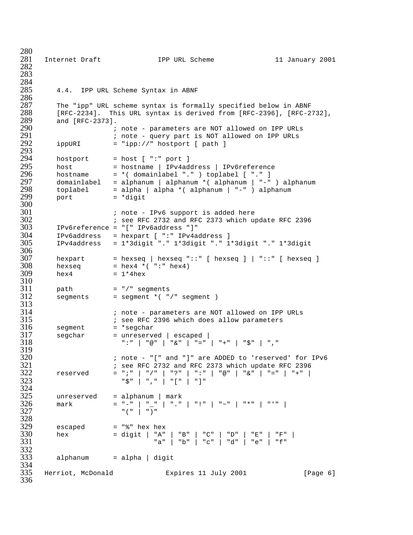Internet Draft IPP URL Scheme 11 January 2001 284<br>285 4.4. IPP URL Scheme Syntax in ABNF 286<br>287 The "ipp" URL scheme syntax is formally specified below in ABNF 288 [RFC-2234]. This URL syntax is derived from [RFC-2396], [RFC-2732],<br>289 and [RFC-2373]. 289 and [RFC-2373].<br>290 ; ; note - parameters are NOT allowed on IPP URLs ; note - query part is NOT allowed on IPP URLs<br> $292$  ippURI = "ipp://" hostport [ path ]  $ippURI$  = " $ipp://" hostport [ path ]$  294 hostport = host [ ":" port ]<br>295 host = hostname | IPv4ad host = hostname | IPv4address | IPv6reference<br>296 hostname = \*(domainlabel ".") toplabel [ "." ] hostname = \*( domainlabel "." ) toplabel [ "." ] domainlabel = alphanum | alphanum \*( alphanum | "-" ) alphanum toplabel = alpha | alpha \*( alphanum | "-" ) alphanum port = \*digit 300<br>301 ; note - IPv6 support is added here ; see RFC 2732 and RFC 2373 which update RFC 2396<br> $303$  IPv6reference = "[" IPv6address "]" IPv6reference = "[" IPv6address "]" IPv6address = hexpart [ ":" IPv4address ] IPv4address = 1\*3digit "." 1\*3digit "." 1\*3digit "." 1\*3digit 306<br>307 hexpart = hexseq | hexseq "::" [ hexseq ] | "::" [ hexseq ] hexseq = hex4 \*( $"$ :" hex4) hex4 =  $1*4$ hex 310<br>311 path = "/" segments segments = segment  $*($  "/" segment )  $\frac{313}{314}$  ; note - parameters are NOT allowed on IPP URLs  $\qquad$   $\qquad$   $\qquad$   $\qquad$   $\qquad$   $\qquad$  see RFC 2396 which does allow parameters 316 seqment  $\qquad$  = \*seqchar segment = \*segchar segchar = unreserved | escaped | ":" | "@" | "&" | "=" | "+" | "\$" | "," 319<br>320 , note - "[" and "]" are ADDED to 'reserved' for IPv6 in the section of the section of the section of  $321$  ; see RFC 2732 and RFC 2373 which update RFC 2396 reserved = ";" | "/" | "?" | ":" | "@" | "&" | "=" | "+" | "\$" | "," | "[" | "]" 324<br>325 unreserved = alphanum | mark 326 mark = "-" | "\_" | "." | "." | "~" | "\*" | "'" |<br>327  $\overline{a}$   $\overline{a}$   $\overline{a}$   $\overline{a}$   $\overline{a}$   $\overline{a}$   $\overline{a}$   $\overline{a}$   $\overline{a}$   $\overline{a}$   $\overline{a}$   $\overline{a}$   $\overline{a}$   $\overline{a}$   $\overline{a}$   $\overline{a}$   $\overline{a}$   $\overline{a}$   $\overline{a}$   $\overline{a}$   $\overline{a}$   $\overline{a}$   $\overline{a}$   $\overline{a}$   $\overline{$ 328<br>329 escaped = "\$" hex hex<br> $330$  hex = digit | "A" hex = digit | "A" | "B" | "C" | "D" | "E" | "F" |  $331$  "a" | "b" | "c" | "d" | "e" | "f" 332<br>333  $alpha$ lphanum = alpha | digit 334<br>335 Herriot, McDonald Expires 11 July 2001 [Page 6]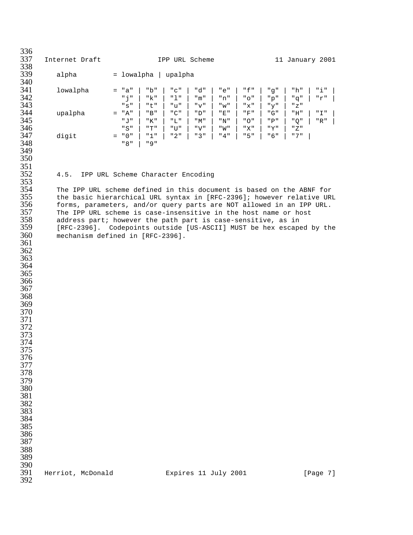336<br>337 Internet Draft **IPP URL Scheme** 11 January 2001 338<br>339 alpha = lowalpha | upalpha 340<br>341 lowalpha = "a" | "b" | "c" | "d" | "e" | "f" | "g" | "h" | "i" | "j" | "k" | "l" | "m" | "n" | "o" | "p" | "q" | "r" | "s" | "t" | "u" | "v" | "w" | "x" | "y" | "z" upalpha = "A" | "B" | "C" | "D" | "E" | "F" | "G" | "H" | "I" | "J" | "K" | "L" | "M" | "N" | "O" | "P" | "Q" | "R" | "S" | "T" | "U" | "V" | "W" | "X" | "Y" | "Z"  $\frac{347}{348}$  digit = "0" | "1" | "2" | "3" | "4" | "5" | "6" | "7" | "8" | "9" 351<br>352 4.5. IPP URL Scheme Character Encoding 353<br>354 The IPP URL scheme defined in this document is based on the ABNF for 355 the basic hierarchical URL syntax in [RFC-2396]; however relative URL<br>356 forms, parameters, and/or query parts are NOT allowed in an IPP URL. 356 forms, parameters, and/or query parts are NOT allowed in an IPP URL.<br>357 The IPP URL scheme is case-insensitive in the host name or host The IPP URL scheme is case-insensitive in the host name or host  $358$  address part; however the path part is case-sensitive, as in address part; however the path part is case-sensitive, as in [RFC-2396]. Codepoints outside [US-ASCII] MUST be hex escaped by the mechanism defined in [RFC-2396]. 390<br>391 Herriot, McDonald Bxpires 11 July 2001 [Page 7]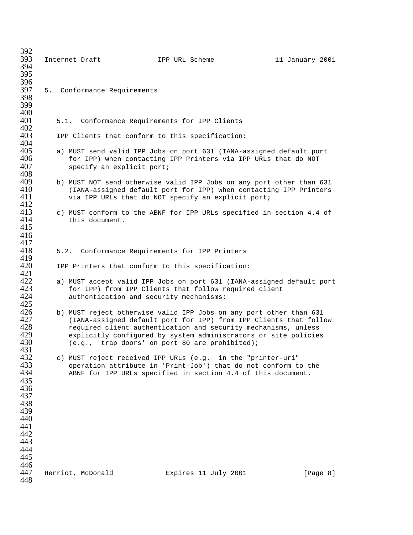| 392<br>393        |      | Internet Draft                          | IPP URL Scheme                                                                                                                      | 11 January 2001 |
|-------------------|------|-----------------------------------------|-------------------------------------------------------------------------------------------------------------------------------------|-----------------|
| 394<br>395        |      |                                         |                                                                                                                                     |                 |
| 396               |      |                                         |                                                                                                                                     |                 |
| 397<br>398        |      | 5. Conformance Requirements             |                                                                                                                                     |                 |
| 399<br>400        |      |                                         |                                                                                                                                     |                 |
| 401<br>402        |      |                                         | 5.1. Conformance Requirements for IPP Clients                                                                                       |                 |
| 403               |      |                                         | IPP Clients that conform to this specification:                                                                                     |                 |
| 404<br>405        |      |                                         | a) MUST send valid IPP Jobs on port 631 (IANA-assigned default port                                                                 |                 |
| 406<br>407        |      | specify an explicit port;               | for IPP) when contacting IPP Printers via IPP URLs that do NOT                                                                      |                 |
| 408<br>409        |      |                                         | b) MUST NOT send otherwise valid IPP Jobs on any port other than 631                                                                |                 |
| 410<br>411<br>412 |      |                                         | (IANA-assigned default port for IPP) when contacting IPP Printers<br>via IPP URLs that do NOT specify an explicit port;             |                 |
| 413               |      |                                         | c) MUST conform to the ABNF for IPP URLs specified in section 4.4 of                                                                |                 |
| 414<br>415        |      | this document.                          |                                                                                                                                     |                 |
| 416<br>417        |      |                                         |                                                                                                                                     |                 |
| 418<br>419        | 5.2. |                                         | Conformance Requirements for IPP Printers                                                                                           |                 |
| 420               |      |                                         | IPP Printers that conform to this specification:                                                                                    |                 |
| 421<br>422        |      |                                         | a) MUST accept valid IPP Jobs on port 631 (IANA-assigned default port                                                               |                 |
| 423<br>424        |      | authentication and security mechanisms; | for IPP) from IPP Clients that follow required client                                                                               |                 |
| 425<br>426        |      |                                         | b) MUST reject otherwise valid IPP Jobs on any port other than 631                                                                  |                 |
| 427<br>428        |      |                                         | (IANA-assigned default port for IPP) from IPP Clients that follow<br>required client authentication and security mechanisms, unless |                 |
| 429<br>430        |      |                                         | explicitly configured by system administrators or site policies<br>(e.g., 'trap doors' on port 80 are prohibited);                  |                 |
| 431<br>432        |      |                                         | c) MUST reject received IPP URLs (e.g. in the "printer-uri"                                                                         |                 |
| 433<br>434        |      |                                         | operation attribute in 'Print-Job') that do not conform to the<br>ABNF for IPP URLs specified in section 4.4 of this document.      |                 |
| 435               |      |                                         |                                                                                                                                     |                 |
| 436<br>437        |      |                                         |                                                                                                                                     |                 |
| 438<br>439        |      |                                         |                                                                                                                                     |                 |
| 440               |      |                                         |                                                                                                                                     |                 |
| 441<br>442        |      |                                         |                                                                                                                                     |                 |
| 443<br>444        |      |                                         |                                                                                                                                     |                 |
| 445               |      |                                         |                                                                                                                                     |                 |
| 446<br>447<br>448 |      | Herriot, McDonald                       | Expires 11 July 2001                                                                                                                | [Page 8]        |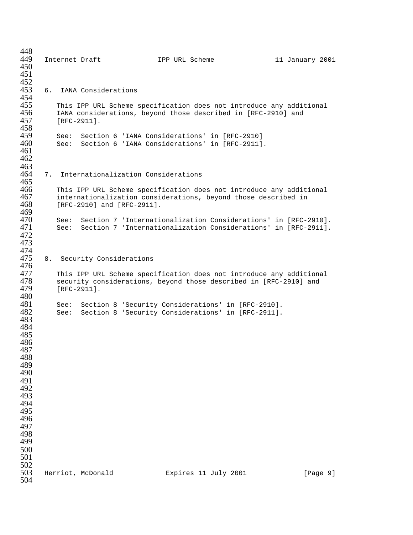448<br>449 449 Internet Draft IPP URL Scheme 11 January 2001 450 451 452<br>453 453 6. IANA Considerations 454<br>455 455 This IPP URL Scheme specification does not introduce any additional 456 TANA considerations, beyond those described in [RFC-2910] and 456 IANA considerations, beyond those described in [RFC-2910] and 457 [RFC-2911].  $[RFC-2911]$ . 458<br>459 459 See: Section 6 'IANA Considerations' in [RFC-2910] See: Section 6 'IANA Considerations' in [RFC-2911]. 461 462 463<br>464 7. Internationalization Considerations 465<br>466 466 This IPP URL Scheme specification does not introduce any additional 467 internationalization considerations, beyond those described in 467 internationalization considerations, beyond those described in <br>468 [RFC-2910] and [RFC-2911]. [RFC-2910] and [RFC-2911]. 469<br>470 470 See: Section 7 'Internationalization Considerations' in [RFC-2910]. See: Section 7 'Internationalization Considerations' in [RFC-2911]. 472 473 474<br>475 8. Security Considerations 476<br>477 477 This IPP URL Scheme specification does not introduce any additional 478 security considerations, beyond those described in [RFC-2910] and 478 security considerations, beyond those described in [RFC-2910] and<br>479 [RFC-2911]. [RFC-2911]. 480<br>481 481 See: Section 8 'Security Considerations' in [RFC-2910].<br>482 See: Section 8 'Security Considerations' in [RFC-2911]. See: Section 8 'Security Considerations' in [RFC-2911]. 483 484 485 486 487 488 489 490 491 492 493 494 495 496 497 498 499 500 501 502<br>503 Herriot, McDonald Expires 11 July 2001 [Page 9] 504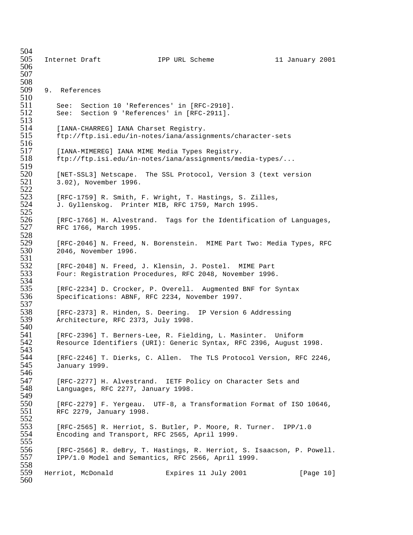| 504<br>505        | Internet Draft |                       |                                       | IPP URL Scheme                                                                                                                     |  | 11 January 2001 |  |
|-------------------|----------------|-----------------------|---------------------------------------|------------------------------------------------------------------------------------------------------------------------------------|--|-----------------|--|
| 506<br>507<br>508 |                |                       |                                       |                                                                                                                                    |  |                 |  |
| 509<br>510        | 9. References  |                       |                                       |                                                                                                                                    |  |                 |  |
| 511<br>512<br>513 |                |                       |                                       | See: Section 10 'References' in [RFC-2910].<br>See: Section 9 'References' in [RFC-2911].                                          |  |                 |  |
| 514<br>515<br>516 |                |                       | [IANA-CHARREG] IANA Charset Registry. | ftp://ftp.isi.edu/in-notes/iana/assignments/character-sets                                                                         |  |                 |  |
| 517<br>518<br>519 |                |                       |                                       | [IANA-MIMEREG] IANA MIME Media Types Registry.<br>ftp://ftp.isi.edu/in-notes/iana/assignments/media-types/                         |  |                 |  |
| 520<br>521<br>522 |                | 3.02), November 1996. |                                       | [NET-SSL3] Netscape. The SSL Protocol, Version 3 (text version                                                                     |  |                 |  |
| 523<br>524<br>525 |                |                       |                                       | [RFC-1759] R. Smith, F. Wright, T. Hastings, S. Zilles,<br>J. Gyllenskog. Printer MIB, RFC 1759, March 1995.                       |  |                 |  |
| 526<br>527<br>528 |                | RFC 1766, March 1995. |                                       | [RFC-1766] H. Alvestrand. Tags for the Identification of Languages,                                                                |  |                 |  |
| 529<br>530<br>531 |                | 2046, November 1996.  |                                       | [RFC-2046] N. Freed, N. Borenstein. MIME Part Two: Media Types, RFC                                                                |  |                 |  |
| 532<br>533<br>534 |                |                       |                                       | [RFC-2048] N. Freed, J. Klensin, J. Postel. MIME Part<br>Four: Registration Procedures, RFC 2048, November 1996.                   |  |                 |  |
| 535<br>536<br>537 |                |                       |                                       | [RFC-2234] D. Crocker, P. Overell. Augmented BNF for Syntax<br>Specifications: ABNF, RFC 2234, November 1997.                      |  |                 |  |
| 538<br>539<br>540 |                |                       | Architecture, RFC 2373, July 1998.    | [RFC-2373] R. Hinden, S. Deering. IP Version 6 Addressing                                                                          |  |                 |  |
| 541<br>542<br>543 |                |                       |                                       | [RFC-2396] T. Berners-Lee, R. Fielding, L. Masinter. Uniform<br>Resource Identifiers (URI): Generic Syntax, RFC 2396, August 1998. |  |                 |  |
| 544<br>545<br>546 |                | January 1999.         |                                       | [RFC-2246] T. Dierks, C. Allen. The TLS Protocol Version, RFC 2246,                                                                |  |                 |  |
| 547<br>548<br>549 |                |                       | Languages, RFC 2277, January 1998.    | [RFC-2277] H. Alvestrand. IETF Policy on Character Sets and                                                                        |  |                 |  |
| 550<br>551<br>552 |                |                       | RFC 2279, January 1998.               | [RFC-2279] F. Yergeau. UTF-8, a Transformation Format of ISO 10646,                                                                |  |                 |  |
| 553<br>554        |                |                       |                                       | [RFC-2565] R. Herriot, S. Butler, P. Moore, R. Turner. IPP/1.0<br>Encoding and Transport, RFC 2565, April 1999.                    |  |                 |  |
| 555<br>556<br>557 |                |                       |                                       | [RFC-2566] R. deBry, T. Hastings, R. Herriot, S. Isaacson, P. Powell.<br>IPP/1.0 Model and Semantics, RFC 2566, April 1999.        |  |                 |  |
| 558<br>559<br>560 |                | Herriot, McDonald     |                                       | Expires 11 July 2001                                                                                                               |  | [Page 10]       |  |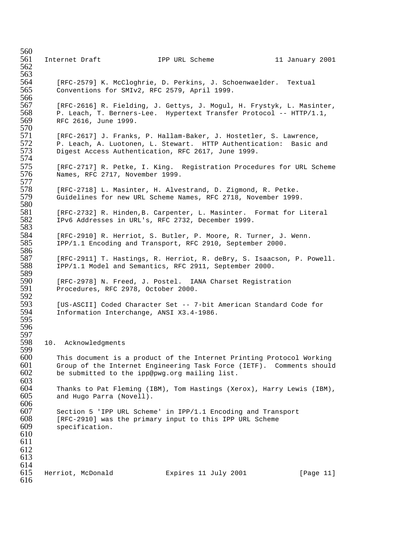| 560<br>561<br>562               | Internet Draft                      | IPP URL Scheme                                                                                                                                                                                | 11 January 2001 |
|---------------------------------|-------------------------------------|-----------------------------------------------------------------------------------------------------------------------------------------------------------------------------------------------|-----------------|
| 563<br>564<br>565<br>566        |                                     | [RFC-2579] K. McCloghrie, D. Perkins, J. Schoenwaelder. Textual<br>Conventions for SMIv2, RFC 2579, April 1999.                                                                               |                 |
| 567<br>568<br>569               | RFC 2616, June 1999.                | [RFC-2616] R. Fielding, J. Gettys, J. Mogul, H. Frystyk, L. Masinter,<br>P. Leach, T. Berners-Lee. Hypertext Transfer Protocol -- HTTP/1.1,                                                   |                 |
| 570<br>571<br>572<br>573        |                                     | [RFC-2617] J. Franks, P. Hallam-Baker, J. Hostetler, S. Lawrence,<br>P. Leach, A. Luotonen, L. Stewart. HTTP Authentication: Basic and<br>Digest Access Authentication, RFC 2617, June 1999.  |                 |
| 574<br>575<br>576<br>577        | Names, RFC 2717, November 1999.     | [RFC-2717] R. Petke, I. King. Registration Procedures for URL Scheme                                                                                                                          |                 |
| 578<br>579<br>580               |                                     | [RFC-2718] L. Masinter, H. Alvestrand, D. Zigmond, R. Petke.<br>Guidelines for new URL Scheme Names, RFC 2718, November 1999.                                                                 |                 |
| 581<br>582<br>583               |                                     | [RFC-2732] R. Hinden, B. Carpenter, L. Masinter. Format for Literal<br>IPv6 Addresses in URL's, RFC 2732, December 1999.                                                                      |                 |
| 584<br>585<br>586               |                                     | [RFC-2910] R. Herriot, S. Butler, P. Moore, R. Turner, J. Wenn.<br>IPP/1.1 Encoding and Transport, RFC 2910, September 2000.                                                                  |                 |
| 587<br>588<br>589               |                                     | [RFC-2911] T. Hastings, R. Herriot, R. deBry, S. Isaacson, P. Powell.<br>IPP/1.1 Model and Semantics, RFC 2911, September 2000.                                                               |                 |
| 590<br>591<br>592               | Procedures, RFC 2978, October 2000. | [RFC-2978] N. Freed, J. Postel. IANA Charset Registration                                                                                                                                     |                 |
| 593<br>594<br>595               |                                     | [US-ASCII] Coded Character Set -- 7-bit American Standard Code for<br>Information Interchange, ANSI X3.4-1986.                                                                                |                 |
| 596<br>597<br>598<br>599        | 10. Acknowledgments                 |                                                                                                                                                                                               |                 |
| 600<br>601<br>602<br>603        |                                     | This document is a product of the Internet Printing Protocol Working<br>Group of the Internet Engineering Task Force (IETF). Comments should<br>be submitted to the ipp@pwg.org mailing list. |                 |
| 604<br>605<br>606               | and Hugo Parra (Novell).            | Thanks to Pat Fleming (IBM), Tom Hastings (Xerox), Harry Lewis (IBM),                                                                                                                         |                 |
| 607<br>608<br>609<br>610<br>611 | specification.                      | Section 5 'IPP URL Scheme' in IPP/1.1 Encoding and Transport<br>[RFC-2910] was the primary input to this IPP URL Scheme                                                                       |                 |
| 612<br>613<br>614               |                                     |                                                                                                                                                                                               |                 |
| 615<br>616                      | Herriot, McDonald                   | Expires 11 July 2001                                                                                                                                                                          | [Page 11]       |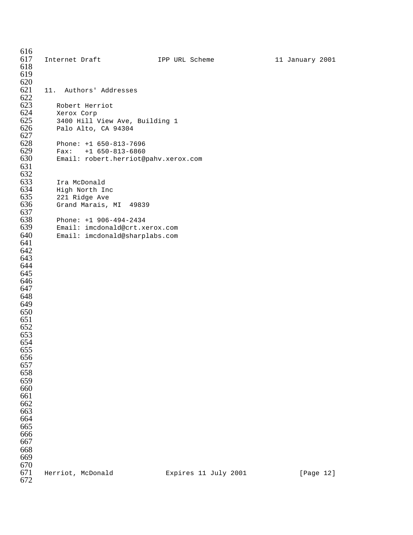Internet Draft **IPP URL Scheme** 11 January 2001 620<br>621 11. Authors' Addresses 622<br>623 623 Robert Herriot<br>624 Xerox Corp 624 Xerox Corp<br>625 3400 Hill V 625 3400 Hill View Ave, Building 1<br>626 Palo Alto, CA 94304 Palo Alto, CA 94304 628 Phone: +1 650-813-7696<br>629 Fax: +1 650-813-6860 Fax: +1 650-813-6860 Email: robert.herriot@pahv.xerox.com 632<br>633 Ira McDonald 634 High North Inc<br>635 221 Ridge Ave 221 Ridge Ave Grand Marais, MI 49839 637<br>638 Phone: +1 906-494-2434 Email: imcdonald@crt.xerox.com Email: imcdonald@sharplabs.com 670<br>671 Herriot, McDonald **Expires 11 July 2001** [Page 12]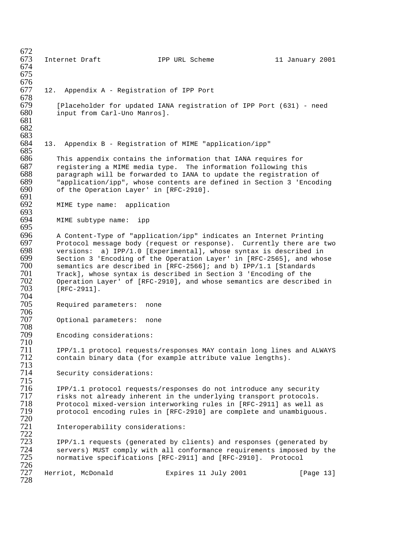672<br>673 Externet Draft 1PP URL Scheme 11 January 2001 674 675 676<br>677 12. Appendix A - Registration of IPP Port 678 679 [Placeholder for updated IANA registration of IPP Port (631) - need<br>680 input from Carl-Uno Manrosl. input from Carl-Uno Manros]. 681 682 683 13. Appendix B - Registration of MIME "application/ipp" 685 686 This appendix contains the information that IANA requires for<br>687 Teqistering a MIME media type. The information following thi 687 registering a MIME media type. The information following this 688 paragraph will be forwarded to IANA to update the registration of 689 and represent whose contents are defined in Section 3 'Encod 689 "application/ipp", whose contents are defined in Section 3 'Encoding 690 of the Operation Layer' in  $[RFC-2910]$ . of the Operation Layer' in [RFC-2910]. 691<br>692 MIME type name: application 693<br>694 MIME subtype name: ipp 695 696 B Content-Type of "application/ipp" indicates an Internet Printing<br>697 Brotocol message body (request or response). Currently there are 697 Protocol message body (request or response). Currently there are two<br>698 versions: a) IPP/1.0 [Experimental], whose syntax is described in  $698$  versions: a) IPP/1.0 [Experimental], whose syntax is described in  $699$  Section 3 'Encoding of the Operation Laver' in [RFC-2565], and whos 699 Section 3 'Encoding of the Operation Layer' in [RFC-2565], and whose  $700$  semantics are described in [RFC-2566]; and b) IPP/1.1 [Standards 700 semantics are described in [RFC-2566]; and b) IPP/1.1 [Standards 701 Track], whose syntax is described in Section 3 'Encoding of the 702 Operation Layer' of [RFC-2910], and whose semantics are described in  $[RFC-2911]$ . 704 Required parameters: none 706 Optional parameters: none 708 Encoding considerations: 710 The IPP/1.1 protocol requests/responses MAY contain long lines and ALWAYS<br>T12 contain binary data (for example attribute value lengths). contain binary data (for example attribute value lengths). 713 Security considerations: 715 716 IPP/1.1 protocol requests/responses do not introduce any security<br>717 Interator already inherent in the underlying transport protocols. 717 risks not already inherent in the underlying transport protocols.<br>718 Protocol mixed-version interworking rules in [RFC-2911] as well a 718 Protocol mixed-version interworking rules in [RFC-2911] as well as protocol encoding rules in [RFC-2910] are complete and unambiguous. 720 Interoperability considerations: 722 723 IPP/1.1 requests (generated by clients) and responses (generated by 724 servers) MUST comply with all conformance requirements imposed by the<br>725 mormative specifications [RFC-2911] and [RFC-2910]. Protocol 725 normative specifications [RFC-2911] and [RFC-2910]. Protocol 726 Herriot, McDonald **Expires 11 July 2001** [Page 13] 728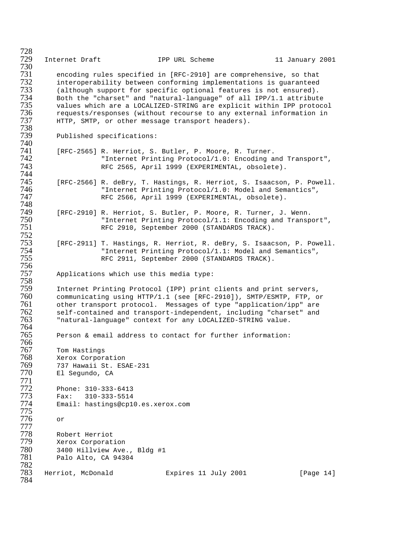Internet Draft IPP URL Scheme 11 January 2001 encoding rules specified in [RFC-2910] are comprehensive, so that interoperability between conforming implementations is guaranteed (although support for specific optional features is not ensured). Both the "charset" and "natural-language" of all IPP/1.1 attribute values which are a LOCALIZED-STRING are explicit within IPP protocol requests/responses (without recourse to any external information in HTTP, SMTP, or other message transport headers). Published specifications: Tal (RFC-2565) R. Herriot, S. Butler, P. Moore, R. Turner.<br>142 "Internet Printing Protocol/1.0: Encoding a "Internet Printing Protocol/1.0: Encoding and Transport", RFC 2565, April 1999 (EXPERIMENTAL, obsolete). The Soutings, R. Herriot, S. Isaacson, P. Powell.<br>746 Thternet Printing Protocol/1.0: Model and Semantics", "Internet Printing Protocol/1.0: Model and Semantics", RFC 2566, April 1999 (EXPERIMENTAL, obsolete). The Sutler, P. Moore, R. Turner, J. Wenn.<br>150 Thernet Printing Protocol/1.1: Encoding and Transp "Internet Printing Protocol/1.1: Encoding and Transport", RFC 2910, September 2000 (STANDARDS TRACK). [RFC-2911] T. Hastings, R. Herriot, R. deBry, S. Isaacson, P. Powell. "Internet Printing Protocol/1.1: Model and Semantics", RFC 2911, September 2000 (STANDARDS TRACK). Applications which use this media type: Internet Printing Protocol (IPP) print clients and print servers, communicating using HTTP/1.1 (see [RFC-2910]), SMTP/ESMTP, FTP, or other transport protocol. Messages of type "application/ipp" are 762 self-contained and transport-independent, including "charset" and<br>763 Thatural-language" context for any LOCALIZED-STRING value. "natural-language" context for any LOCALIZED-STRING value. 764<br>765 Person & email address to contact for further information: Tom Hastings Xerox Corporation 737 Hawaii St. ESAE-231 El Segundo, CA Phone: 310-333-6413 Fax: 310-333-5514 Email: hastings@cp10.es.xerox.com or Robert Herriot Xerox Corporation 3400 Hillview Ave., Bldg #1 Palo Alto, CA 94304 Herriot, McDonald **Expires 11 July 2001** [Page 14]